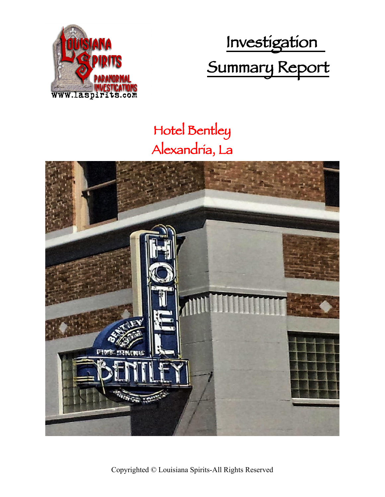

 Investigation Summary Report

# Hotel Bentley Alexandria, La

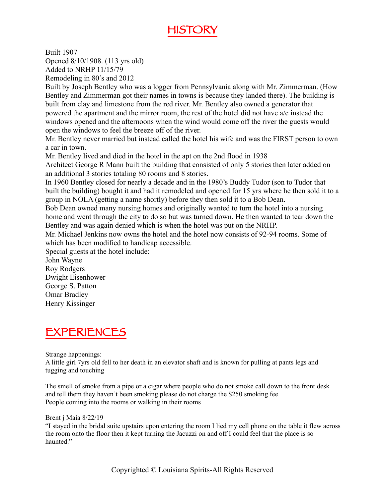

Built 1907 Opened 8/10/1908. (113 yrs old) Added to NRHP 11/15/79 Remodeling in 80's and 2012

Built by Joseph Bentley who was a logger from Pennsylvania along with Mr. Zimmerman. (How Bentley and Zimmerman got their names in towns is because they landed there). The building is built from clay and limestone from the red river. Mr. Bentley also owned a generator that powered the apartment and the mirror room, the rest of the hotel did not have a/c instead the windows opened and the afternoons when the wind would come off the river the guests would open the windows to feel the breeze off of the river.

Mr. Bentley never married but instead called the hotel his wife and was the FIRST person to own a car in town.

Mr. Bentley lived and died in the hotel in the apt on the 2nd flood in 1938

Architect George R Mann built the building that consisted of only 5 stories then later added on an additional 3 stories totaling 80 rooms and 8 stories.

In 1960 Bentley closed for nearly a decade and in the 1980's Buddy Tudor (son to Tudor that built the building) bought it and had it remodeled and opened for 15 yrs where he then sold it to a group in NOLA (getting a name shortly) before they then sold it to a Bob Dean.

Bob Dean owned many nursing homes and originally wanted to turn the hotel into a nursing home and went through the city to do so but was turned down. He then wanted to tear down the Bentley and was again denied which is when the hotel was put on the NRHP.

Mr. Michael Jenkins now owns the hotel and the hotel now consists of 92-94 rooms. Some of which has been modified to handicap accessible.

Special guests at the hotel include:

John Wayne Roy Rodgers Dwight Eisenhower George S. Patton Omar Bradley Henry Kissinger

### EXPERIENCES

Strange happenings:

A little girl 7yrs old fell to her death in an elevator shaft and is known for pulling at pants legs and tugging and touching

The smell of smoke from a pipe or a cigar where people who do not smoke call down to the front desk and tell them they haven't been smoking please do not charge the \$250 smoking fee People coming into the rooms or walking in their rooms

Brent j Maia 8/22/19

"I stayed in the bridal suite upstairs upon entering the room I lied my cell phone on the table it flew across the room onto the floor then it kept turning the Jacuzzi on and off I could feel that the place is so haunted<sup>"</sup>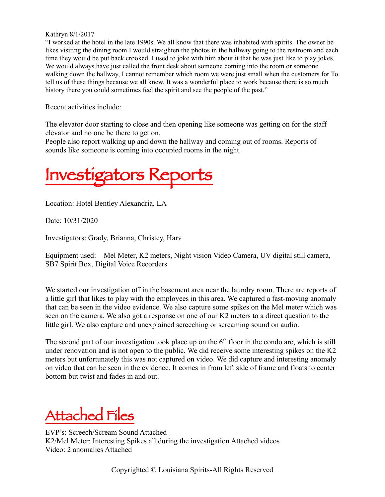#### Kathryn 8/1/2017

"I worked at the hotel in the late 1990s. We all know that there was inhabited with spirits. The owner he likes visiting the dining room I would straighten the photos in the hallway going to the restroom and each time they would be put back crooked. I used to joke with him about it that he was just like to play jokes. We would always have just called the front desk about someone coming into the room or someone walking down the hallway, I cannot remember which room we were just small when the customers for To tell us of these things because we all knew. It was a wonderful place to work because there is so much history there you could sometimes feel the spirit and see the people of the past."

Recent activities include:

The elevator door starting to close and then opening like someone was getting on for the staff elevator and no one be there to get on.

People also report walking up and down the hallway and coming out of rooms. Reports of sounds like someone is coming into occupied rooms in the night.



Location: Hotel Bentley Alexandria, LA

Date: 10/31/2020

Investigators: Grady, Brianna, Christey, Harv

Equipment used: Mel Meter, K2 meters, Night vision Video Camera, UV digital still camera, SB7 Spirit Box, Digital Voice Recorders

We started our investigation off in the basement area near the laundry room. There are reports of a little girl that likes to play with the employees in this area. We captured a fast-moving anomaly that can be seen in the video evidence. We also capture some spikes on the Mel meter which was seen on the camera. We also got a response on one of our K2 meters to a direct question to the little girl. We also capture and unexplained screeching or screaming sound on audio.

The second part of our investigation took place up on the  $6<sup>th</sup>$  floor in the condo are, which is still under renovation and is not open to the public. We did receive some interesting spikes on the K2 meters but unfortunately this was not captured on video. We did capture and interesting anomaly on video that can be seen in the evidence. It comes in from left side of frame and floats to center bottom but twist and fades in and out.

## Attached Files

EVP's: Screech/Scream Sound Attached K2/Mel Meter: Interesting Spikes all during the investigation Attached videos Video: 2 anomalies Attached

Copyrighted © Louisiana Spirits-All Rights Reserved